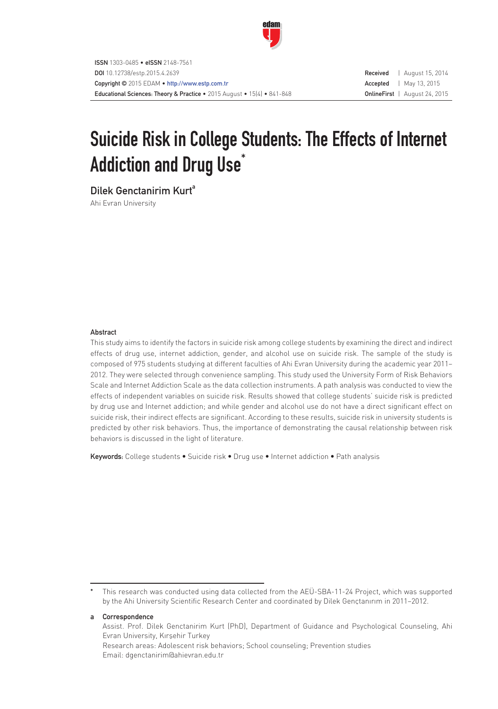

# Suicide Risk in College Students: The Effects of Internet Addiction and Drug Use<sup>\*</sup>

Dilek Genctanirim Kurt<sup>a</sup>

Ahi Evran University

# Abstract

This study aims to identify the factors in suicide risk among college students by examining the direct and indirect effects of drug use, internet addiction, gender, and alcohol use on suicide risk. The sample of the study is composed of 975 students studying at different faculties of Ahi Evran University during the academic year 2011– 2012. They were selected through convenience sampling. This study used the University Form of Risk Behaviors Scale and Internet Addiction Scale as the data collection instruments. A path analysis was conducted to view the effects of independent variables on suicide risk. Results showed that college students' suicide risk is predicted by drug use and Internet addiction; and while gender and alcohol use do not have a direct significant effect on suicide risk, their indirect effects are significant. According to these results, suicide risk in university students is predicted by other risk behaviors. Thus, the importance of demonstrating the causal relationship between risk behaviors is discussed in the light of literature.

Keywords: College students • Suicide risk • Drug use • Internet addiction • Path analysis

## a Correspondence

Assist. Prof. Dilek Genctanirim Kurt (PhD), Department of Guidance and Psychological Counseling, Ahi Evran University, Kırşehir Turkey Research areas: Adolescent risk behaviors; School counseling; Prevention studies Email: dgenctanirim@ahievran.edu.tr

This research was conducted using data collected from the AEÜ-SBA-11-24 Project, which was supported by the Ahi University Scientific Research Center and coordinated by Dilek Gençtanırım in 2011–2012.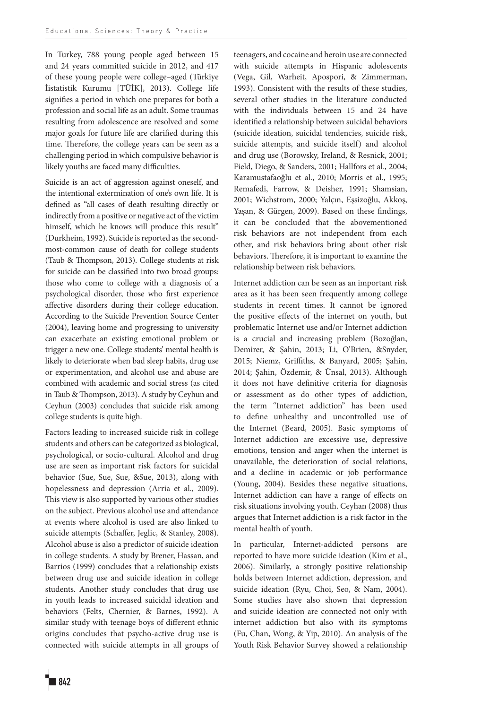In Turkey, 788 young people aged between 15 and 24 years committed suicide in 2012, and 417 of these young people were college–aged (Türkiye İistatistik Kurumu [TÜİK], 2013). College life signifies a period in which one prepares for both a profession and social life as an adult. Some traumas resulting from adolescence are resolved and some major goals for future life are clarified during this time. Therefore, the college years can be seen as a challenging period in which compulsive behavior is likely youths are faced many difficulties.

Suicide is an act of aggression against oneself, and the intentional extermination of one's own life. It is defined as "all cases of death resulting directly or indirectly from a positive or negative act of the victim himself, which he knows will produce this result" (Durkheim, 1992). Suicide is reported as the secondmost-common cause of death for college students (Taub & Thompson, 2013). College students at risk for suicide can be classified into two broad groups: those who come to college with a diagnosis of a psychological disorder, those who first experience affective disorders during their college education. According to the Suicide Prevention Source Center (2004), leaving home and progressing to university can exacerbate an existing emotional problem or trigger a new one. College students' mental health is likely to deteriorate when bad sleep habits, drug use or experimentation, and alcohol use and abuse are combined with academic and social stress (as cited in Taub & Thompson, 2013). A study by Ceyhun and Ceyhun (2003) concludes that suicide risk among college students is quite high.

Factors leading to increased suicide risk in college students and others can be categorized as biological, psychological, or socio-cultural. Alcohol and drug use are seen as important risk factors for suicidal behavior (Sue, Sue, Sue, &Sue, 2013), along with hopelessness and depression (Arria et al., 2009). This view is also supported by various other studies on the subject. Previous alcohol use and attendance at events where alcohol is used are also linked to suicide attempts (Schaffer, Jeglic, & Stanley, 2008). Alcohol abuse is also a predictor of suicide ideation in college students. A study by Brener, Hassan, and Barrios (1999) concludes that a relationship exists between drug use and suicide ideation in college students. Another study concludes that drug use in youth leads to increased suicidal ideation and behaviors (Felts, Chernier, & Barnes, 1992). A similar study with teenage boys of different ethnic origins concludes that psycho-active drug use is connected with suicide attempts in all groups of teenagers, and cocaine and heroin use are connected with suicide attempts in Hispanic adolescents (Vega, Gil, Warheit, Apospori, & Zimmerman, 1993). Consistent with the results of these studies, several other studies in the literature conducted with the individuals between 15 and 24 have identified a relationship between suicidal behaviors (suicide ideation, suicidal tendencies, suicide risk, suicide attempts, and suicide itself) and alcohol and drug use (Borowsky, Ireland, & Resnick, 2001; Field, Diego, & Sanders, 2001; Hallfors et al., 2004; Karamustafaoğlu et al., 2010; Morris et al., 1995; Remafedi, Farrow, & Deisher, 1991; Shamsian, 2001; Wichstrom, 2000; Yalçın, Eşsizoğlu, Akkoş, Yaşan, & Gürgen, 2009). Based on these findings, it can be concluded that the abovementioned risk behaviors are not independent from each other, and risk behaviors bring about other risk behaviors. Therefore, it is important to examine the relationship between risk behaviors.

Internet addiction can be seen as an important risk area as it has been seen frequently among college students in recent times. It cannot be ignored the positive effects of the internet on youth, but problematic Internet use and/or Internet addiction is a crucial and increasing problem (Bozoğlan, Demirer, & Şahin, 2013; Li, O'Brien, &Snyder, 2015; Niemz, Griffiths, & Banyard, 2005; Şahin, 2014; Şahin, Özdemir, & Ünsal, 2013). Although it does not have definitive criteria for diagnosis or assessment as do other types of addiction, the term "Internet addiction" has been used to define unhealthy and uncontrolled use of the Internet (Beard, 2005). Basic symptoms of Internet addiction are excessive use, depressive emotions, tension and anger when the internet is unavailable, the deterioration of social relations, and a decline in academic or job performance (Young, 2004). Besides these negative situations, Internet addiction can have a range of effects on risk situations involving youth. Ceyhan (2008) thus argues that Internet addiction is a risk factor in the mental health of youth.

In particular, Internet-addicted persons are reported to have more suicide ideation (Kim et al., 2006). Similarly, a strongly positive relationship holds between Internet addiction, depression, and suicide ideation (Ryu, Choi, Seo, & Nam, 2004). Some studies have also shown that depression and suicide ideation are connected not only with internet addiction but also with its symptoms (Fu, Chan, Wong, & Yip, 2010). An analysis of the Youth Risk Behavior Survey showed a relationship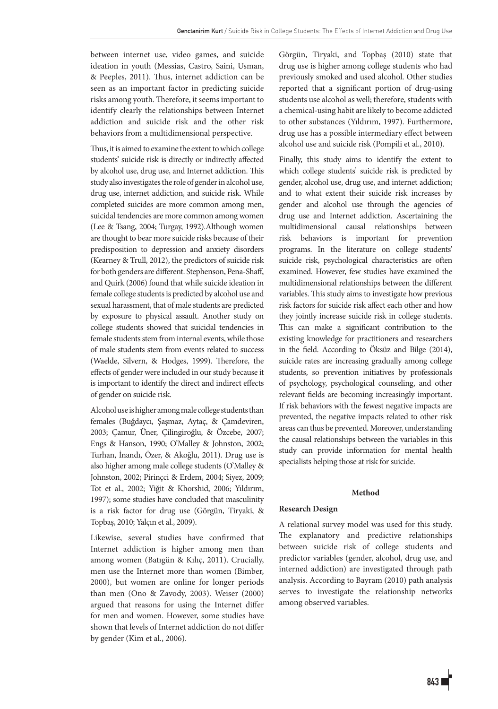between internet use, video games, and suicide ideation in youth (Messias, Castro, Saini, Usman, & Peeples, 2011). Thus, internet addiction can be seen as an important factor in predicting suicide risks among youth. Therefore, it seems important to identify clearly the relationships between Internet addiction and suicide risk and the other risk behaviors from a multidimensional perspective.

Thus, it is aimed to examine the extent to which college students' suicide risk is directly or indirectly affected by alcohol use, drug use, and Internet addiction. This study also investigates the role of gender in alcohol use, drug use, internet addiction, and suicide risk. While completed suicides are more common among men, suicidal tendencies are more common among women (Lee & Tsang, 2004; Turgay, 1992).Although women are thought to bear more suicide risks because of their predisposition to depression and anxiety disorders (Kearney & Trull, 2012), the predictors of suicide risk for both genders are different. Stephenson, Pena-Shaff, and Quirk (2006) found that while suicide ideation in female college students is predicted by alcohol use and sexual harassment, that of male students are predicted by exposure to physical assault. Another study on college students showed that suicidal tendencies in female students stem from internal events, while those of male students stem from events related to success (Waelde, Silvern, & Hodges, 1999). Therefore, the effects of gender were included in our study because it is important to identify the direct and indirect effects of gender on suicide risk.

Alcohol use is higher among male college students than females (Buğdaycı, Şaşmaz, Aytaç, & Çamdeviren, 2003; Çamur, Üner, Çilingiroğlu, & Özcebe, 2007; Engs & Hanson, 1990; O'Malley & Johnston, 2002; Turhan, İnandı, Özer, & Akoğlu, 2011). Drug use is also higher among male college students (O'Malley & Johnston, 2002; Pirinçci & Erdem, 2004; Siyez, 2009; Tot et al., 2002; Yiğit & Khorshid, 2006; Yıldırım, 1997); some studies have concluded that masculinity is a risk factor for drug use (Görgün, Tiryaki, & Topbaş, 2010; Yalçın et al., 2009).

Likewise, several studies have confirmed that Internet addiction is higher among men than among women (Batıgün & Kılıç, 2011). Crucially, men use the Internet more than women (Bimber, 2000), but women are online for longer periods than men (Ono & Zavody, 2003). Weiser (2000) argued that reasons for using the Internet differ for men and women. However, some studies have shown that levels of Internet addiction do not differ by gender (Kim et al., 2006).

Görgün, Tiryaki, and Topbaş (2010) state that drug use is higher among college students who had previously smoked and used alcohol. Other studies reported that a significant portion of drug-using students use alcohol as well; therefore, students with a chemical-using habit are likely to become addicted to other substances (Yıldırım, 1997). Furthermore, drug use has a possible intermediary effect between alcohol use and suicide risk (Pompili et al., 2010).

Finally, this study aims to identify the extent to which college students' suicide risk is predicted by gender, alcohol use, drug use, and internet addiction; and to what extent their suicide risk increases by gender and alcohol use through the agencies of drug use and Internet addiction. Ascertaining the multidimensional causal relationships between risk behaviors is important for prevention programs. In the literature on college students' suicide risk, psychological characteristics are often examined. However, few studies have examined the multidimensional relationships between the different variables. This study aims to investigate how previous risk factors for suicide risk affect each other and how they jointly increase suicide risk in college students. This can make a significant contribution to the existing knowledge for practitioners and researchers in the field. According to Öksüz and Bilge (2014), suicide rates are increasing gradually among college students, so prevention initiatives by professionals of psychology, psychological counseling, and other relevant fields are becoming increasingly important. If risk behaviors with the fewest negative impacts are prevented, the negative impacts related to other risk areas can thus be prevented. Moreover, understanding the causal relationships between the variables in this study can provide information for mental health specialists helping those at risk for suicide.

## **Method**

# **Research Design**

A relational survey model was used for this study. The explanatory and predictive relationships between suicide risk of college students and predictor variables (gender, alcohol, drug use, and interned addiction) are investigated through path analysis. According to Bayram (2010) path analysis serves to investigate the relationship networks among observed variables.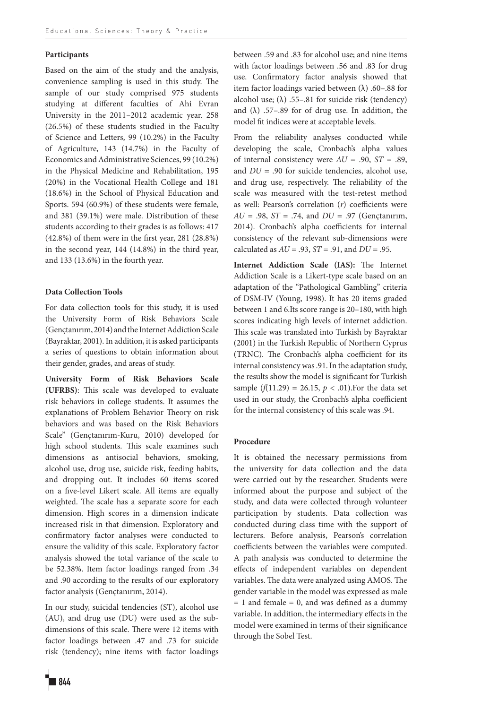# **Participants**

Based on the aim of the study and the analysis, convenience sampling is used in this study. The sample of our study comprised 975 students studying at different faculties of Ahi Evran University in the 2011–2012 academic year. 258 (26.5%) of these students studied in the Faculty of Science and Letters, 99 (10.2%) in the Faculty of Agriculture, 143 (14.7%) in the Faculty of Economics and Administrative Sciences, 99 (10.2%) in the Physical Medicine and Rehabilitation, 195 (20%) in the Vocational Health College and 181 (18.6%) in the School of Physical Education and Sports. 594 (60.9%) of these students were female, and 381 (39.1%) were male. Distribution of these students according to their grades is as follows: 417 (42.8%) of them were in the first year, 281 (28.8%) in the second year, 144 (14.8%) in the third year, and 133 (13.6%) in the fourth year.

# **Data Collection Tools**

For data collection tools for this study, it is used the University Form of Risk Behaviors Scale (Gençtanırım, 2014) and the Internet Addiction Scale (Bayraktar, 2001). In addition, it is asked participants a series of questions to obtain information about their gender, grades, and areas of study.

**University Form of Risk Behaviors Scale (UFRBS)**: This scale was developed to evaluate risk behaviors in college students. It assumes the explanations of Problem Behavior Theory on risk behaviors and was based on the Risk Behaviors Scale" (Gençtanırım-Kuru, 2010) developed for high school students. This scale examines such dimensions as antisocial behaviors, smoking, alcohol use, drug use, suicide risk, feeding habits, and dropping out. It includes 60 items scored on a five-level Likert scale. All items are equally weighted. The scale has a separate score for each dimension. High scores in a dimension indicate increased risk in that dimension. Exploratory and confirmatory factor analyses were conducted to ensure the validity of this scale. Exploratory factor analysis showed the total variance of the scale to be 52.38%. Item factor loadings ranged from .34 and .90 according to the results of our exploratory factor analysis (Gençtanırım, 2014).

In our study, suicidal tendencies (ST), alcohol use (AU), and drug use (DU) were used as the subdimensions of this scale. There were 12 items with factor loadings between .47 and .73 for suicide risk (tendency); nine items with factor loadings

between .59 and .83 for alcohol use; and nine items with factor loadings between .56 and .83 for drug use. Confirmatory factor analysis showed that item factor loadings varied between  $(\lambda)$ .60–.88 for alcohol use; ( $\lambda$ ) .55–.81 for suicide risk (tendency) and  $(\lambda)$  .57–.89 for of drug use. In addition, the model fit indices were at acceptable levels.

From the reliability analyses conducted while developing the scale, Cronbach's alpha values of internal consistency were *AU* = .90, *ST* = .89, and *DU* = .90 for suicide tendencies, alcohol use, and drug use, respectively. The reliability of the scale was measured with the test-retest method as well: Pearson's correlation (*r*) coefficients were *AU* = .98, *ST* = .74, and *DU* = .97 (Gençtanırım, 2014). Cronbach's alpha coefficients for internal consistency of the relevant sub-dimensions were calculated as *AU* = .93, *ST* = .91, and *DU* = .95.

**Internet Addiction Scale (IAS):** The Internet Addiction Scale is a Likert-type scale based on an adaptation of the "Pathological Gambling" criteria of DSM-IV (Young, 1998). It has 20 items graded between 1 and 6.Its score range is 20–180, with high scores indicating high levels of internet addiction. This scale was translated into Turkish by Bayraktar (2001) in the Turkish Republic of Northern Cyprus (TRNC). The Cronbach's alpha coefficient for its internal consistency was .91. In the adaptation study, the results show the model is significant for Turkish sample ( $f(11.29) = 26.15$ ,  $p < .01$ ). For the data set used in our study, the Cronbach's alpha coefficient for the internal consistency of this scale was .94.

#### **Procedure**

It is obtained the necessary permissions from the university for data collection and the data were carried out by the researcher. Students were informed about the purpose and subject of the study, and data were collected through volunteer participation by students. Data collection was conducted during class time with the support of lecturers. Before analysis, Pearson's correlation coefficients between the variables were computed. A path analysis was conducted to determine the effects of independent variables on dependent variables. The data were analyzed using AMOS. The gender variable in the model was expressed as male  $= 1$  and female  $= 0$ , and was defined as a dummy variable. In addition, the intermediary effects in the model were examined in terms of their significance through the Sobel Test.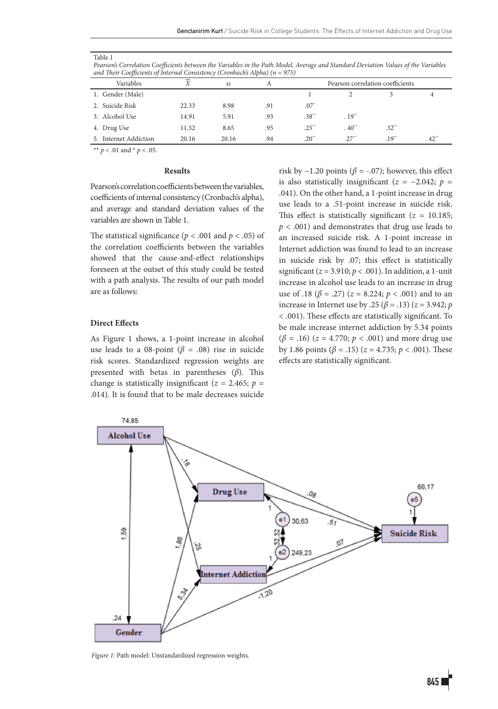#### Table 1

*Pearson's Correlation Coefficients between the Variables in the Path Model, Average and Standard Deviation Values of the Variables and Their Coefficients of Internal Consistency (Cronbach's Alpha) (n = 975)*

| Variables                 | X     | SS    |     | Pearson correlation coefficients |                     |                     |                     |
|---------------------------|-------|-------|-----|----------------------------------|---------------------|---------------------|---------------------|
| 1. Gender (Male)          |       |       |     |                                  |                     |                     |                     |
| Suicide Risk              | 22.33 | 8.98  | .91 | $.07$ <sup>*</sup>               |                     |                     |                     |
| 3. Alcohol Use            | 14.91 | 5.91  | .93 | .38"                             | $.19$ <sup>**</sup> |                     |                     |
| 4. Drug Use               | 11.52 | 8.65  | .95 | $.25$ "                          | $.40$ <sup>**</sup> | $.32$ <sup>**</sup> |                     |
| <b>Internet Addiction</b> | 20.16 | 20.16 | .94 | $.20$ <sup>**</sup>              | $.27$ <sup>**</sup> | $.19$ <sup>**</sup> | $.42$ <sup>**</sup> |

\*\* *p* < .01 and \* *p* < .05.

# **Results**

Pearson's correlation coefficients between the variables, coefficients of internal consistency (Cronbach's alpha), and average and standard deviation values of the variables are shown in Table 1.

The statistical significance ( $p < .001$  and  $p < .05$ ) of the correlation coefficients between the variables showed that the cause-and-effect relationships foreseen at the outset of this study could be tested with a path analysis. The results of our path model are as follows:

# **Direct Effects**

As Figure 1 shows, a 1-point increase in alcohol use leads to a 08-point ( $\beta$  = .08) rise in suicide risk scores. Standardized regression weights are presented with betas in parentheses (*β*). This change is statistically insignificant ( $z = 2.465$ ;  $p =$ .014). It is found that to be male decreases suicide risk by  $-1.20$  points ( $\beta$  = -.07); however, this effect is also statistically insignificant (*z* = −2.042; *p* = .041). On the other hand, a 1-point increase in drug use leads to a .51-point increase in suicide risk. This effect is statistically significant ( $z = 10.185$ ; *p* < .001) and demonstrates that drug use leads to an increased suicide risk. A 1-point increase in Internet addiction was found to lead to an increase in suicide risk by .07; this effect is statistically significant (*z* = 3.910; *p* < .001). In addition, a 1-unit increase in alcohol use leads to an increase in drug use of .18 ( $\beta$  = .27) ( $z$  = 8.224;  $p$  < .001) and to an increase in Internet use by .25 (*β* = .13) (*z* = 3.942; *p*  < .001). These effects are statistically significant. To be male increase internet addiction by 5.34 points (*β* = .16) (*z* = 4.770; *p* < .001) and more drug use by 1.86 points (*β* = .15) (*z* = 4.735; *p* < .001). These effects are statistically significant.



*Figure 1:* Path model: Unstandardized regression weights.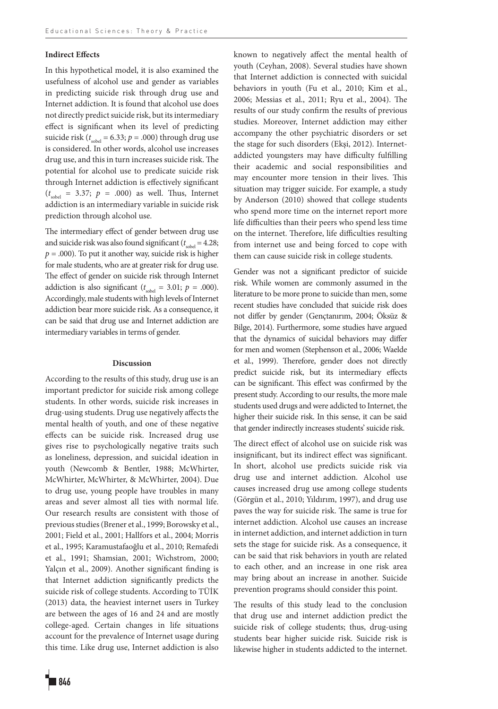# **Indirect Effects**

In this hypothetical model, it is also examined the usefulness of alcohol use and gender as variables in predicting suicide risk through drug use and Internet addiction. It is found that alcohol use does not directly predict suicide risk, but its intermediary effect is significant when its level of predicting suicide risk ( $t_{\text{solel}}$  = 6.33;  $p$  = .000) through drug use is considered. In other words, alcohol use increases drug use, and this in turn increases suicide risk. The potential for alcohol use to predicate suicide risk through Internet addiction is effectively significant  $(t<sub>sobel</sub> = 3.37; p = .000)$  as well. Thus, Internet addiction is an intermediary variable in suicide risk prediction through alcohol use.

The intermediary effect of gender between drug use and suicide risk was also found significant ( $t_{\text{sobel}} = 4.28$ ;  $p = .000$ ). To put it another way, suicide risk is higher for male students, who are at greater risk for drug use. The effect of gender on suicide risk through Internet addiction is also significant  $(t_{\text{sole}} = 3.01; p = .000)$ . Accordingly, male students with high levels of Internet addiction bear more suicide risk. As a consequence, it can be said that drug use and Internet addiction are intermediary variables in terms of gender.

#### **Discussion**

According to the results of this study, drug use is an important predictor for suicide risk among college students. In other words, suicide risk increases in drug-using students. Drug use negatively affects the mental health of youth, and one of these negative effects can be suicide risk. Increased drug use gives rise to psychologically negative traits such as loneliness, depression, and suicidal ideation in youth (Newcomb & Bentler, 1988; McWhirter, McWhirter, McWhirter, & McWhirter, 2004). Due to drug use, young people have troubles in many areas and sever almost all ties with normal life. Our research results are consistent with those of previous studies (Brener et al., 1999; Borowsky et al., 2001; Field et al., 2001; Hallfors et al., 2004; Morris et al., 1995; Karamustafaoğlu et al., 2010; Remafedi et al., 1991; Shamsian, 2001; Wichstrom, 2000; Yalçın et al., 2009). Another significant finding is that Internet addiction significantly predicts the suicide risk of college students. According to TÜİK (2013) data, the heaviest internet users in Turkey are between the ages of 16 and 24 and are mostly college-aged. Certain changes in life situations account for the prevalence of Internet usage during this time. Like drug use, Internet addiction is also known to negatively affect the mental health of youth (Ceyhan, 2008). Several studies have shown that Internet addiction is connected with suicidal behaviors in youth (Fu et al., 2010; Kim et al., 2006; Messias et al., 2011; Ryu et al., 2004). The results of our study confirm the results of previous studies. Moreover, Internet addiction may either accompany the other psychiatric disorders or set the stage for such disorders (Ekşi, 2012). Internetaddicted youngsters may have difficulty fulfilling their academic and social responsibilities and may encounter more tension in their lives. This situation may trigger suicide. For example, a study by Anderson (2010) showed that college students who spend more time on the internet report more life difficulties than their peers who spend less time on the internet. Therefore, life difficulties resulting from internet use and being forced to cope with them can cause suicide risk in college students.

Gender was not a significant predictor of suicide risk. While women are commonly assumed in the literature to be more prone to suicide than men, some recent studies have concluded that suicide risk does not differ by gender (Gençtanırım, 2004; Öksüz & Bilge, 2014). Furthermore, some studies have argued that the dynamics of suicidal behaviors may differ for men and women (Stephenson et al., 2006; Waelde et al., 1999). Therefore, gender does not directly predict suicide risk, but its intermediary effects can be significant. This effect was confirmed by the present study. According to our results, the more male students used drugs and were addicted to Internet, the higher their suicide risk. In this sense, it can be said that gender indirectly increases students' suicide risk.

The direct effect of alcohol use on suicide risk was insignificant, but its indirect effect was significant. In short, alcohol use predicts suicide risk via drug use and internet addiction. Alcohol use causes increased drug use among college students (Görgün et al., 2010; Yıldırım, 1997), and drug use paves the way for suicide risk. The same is true for internet addiction. Alcohol use causes an increase in internet addiction, and internet addiction in turn sets the stage for suicide risk. As a consequence, it can be said that risk behaviors in youth are related to each other, and an increase in one risk area may bring about an increase in another. Suicide prevention programs should consider this point.

The results of this study lead to the conclusion that drug use and internet addiction predict the suicide risk of college students; thus, drug-using students bear higher suicide risk. Suicide risk is likewise higher in students addicted to the internet.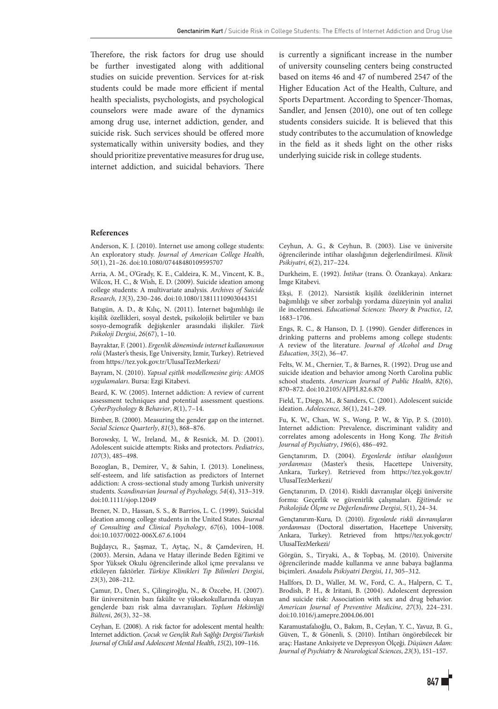Therefore, the risk factors for drug use should be further investigated along with additional studies on suicide prevention. Services for at-risk students could be made more efficient if mental health specialists, psychologists, and psychological counselors were made aware of the dynamics among drug use, internet addiction, gender, and suicide risk. Such services should be offered more systematically within university bodies, and they should prioritize preventative measures for drug use, internet addiction, and suicidal behaviors. There is currently a significant increase in the number of university counseling centers being constructed based on items 46 and 47 of numbered 2547 of the Higher Education Act of the Health, Culture, and Sports Department. According to Spencer-Thomas, Sandler, and Jensen (2010), one out of ten college students considers suicide. It is believed that this study contributes to the accumulation of knowledge in the field as it sheds light on the other risks underlying suicide risk in college students.

# **References**

Anderson, K. J. (2010). Internet use among college students: An exploratory study. *Journal of American College Health*, *50*(1), 21–26. doi:10.1080/07448480109595707

Arria, A. M., O'Grady, K. E., Caldeira, K. M., Vincent, K. B., Wilcox, H. C., & Wish, E. D. (2009). Suicide ideation among college students: A multivariate analysis. *Archives of Suicide Research, 13*(3), 230–246. doi:10.1080/13811110903044351

Batıgün, A. D., & Kılıç, N. (2011). İnternet bağımlılığı ile kişilik özellikleri, sosyal destek, psikolojik belirtiler ve bazı sosyo-demografik değişkenler arasındaki ilişkiler. *Türk Psikoloji Dergisi*, *26*(67), 1–10.

Bayraktar, F. (2001). *Ergenlik döneminde internet kullanımının rolü* (Master's thesis, Ege University, Izmir, Turkey). Retrieved from https://tez.yok.gov.tr/UlusalTezMerkezi/

Bayram, N. (2010). *Yapısal eşitlik modellemesine giriş: AMOS uygulamaları*. Bursa: Ezgi Kitabevi.

Beard, K. W. (2005). Internet addiction: A review of current assessment techniques and potential assessment questions. *CyberPsychology* & *Behavior*, *8*(1), 7–14.

Bimber, B. (2000). Measuring the gender gap on the internet. *Social Science Quarterly*, *81*(3), 868–876.

Borowsky, I, W., Ireland, M., & Resnick, M. D. (2001). Adolescent suicide attempts: Risks and protectors. *Pediatrics*, *107*(3), 485–498.

Bozoglan, B., Demirer, V., & Sahin, I. (2013). Loneliness, self‐esteem, and life satisfaction as predictors of Internet addiction: A cross‐sectional study among Turkish university students. *Scandinavian Journal of Psychology, 54*(4), 313–319. doi:10.1111/sjop.12049

Brener, N. D., Hassan, S. S., & Barrios, L. C. (1999). Suicidal ideation among college students in the United States. *Journal of Consulting and Clinical Psychology*, *67*(6), 1004–1008. doi:10.1037/0022-006X.67.6.1004

Buğdaycı, R., Şaşmaz, T., Aytaç, N., & Çamdeviren, H. (2003). Mersin, Adana ve Hatay illerinde Beden Eğitimi ve Spor Yüksek Okulu öğrencilerinde alkol içme prevalansı ve etkileyen faktörler. *Türkiye Klinikleri Tıp Bilimleri Dergisi*, *23*(3), 208–212.

Çamur, D., Üner, S., Çilingiroğlu, N., & Özcebe, H. (2007). Bir üniversitenin bazı fakülte ve yüksekokullarında okuyan gençlerde bazı risk alma davranışları. *Toplum Hekimliği Bülteni*, *26*(3), 32–38.

Ceyhan, E. (2008). A risk factor for adolescent mental health: Internet addiction. *Çocuk ve Gençlik Ruh Sağlığı Dergisi/Turkish Journal of Child and Adolescent Mental Health*, *15*(2), 109–116.

Ceyhun, A. G., & Ceyhun, B. (2003). Lise ve üniversite öğrencilerinde intihar olasılığının değerlendirilmesi. *Klinik Psikiyatri*, *6*(2), 217–224.

Durkheim, E. (1992). *İntihar* (trans. Ö. Özankaya). Ankara: İmge Kitabevi.

Ekşi, F. (2012). Narsistik kişilik özeliklerinin internet bağımlılığı ve siber zorbalığı yordama düzeyinin yol analizi ile incelenmesi. *Educational Sciences: Theory* & *Practice*, *12*, 1683–1706.

Engs, R. C., & Hanson, D. J. (1990). Gender differences in drinking patterns and problems among college students: A review of the literature. *Journal of Alcohol and Drug Education*, *35*(2), 36–47.

Felts, W. M., Chernier, T., & Barnes, R. (1992). Drug use and suicide ideation and behavior among North Carolina public school students. *American Journal of Public Health*, *82*(6), 870–872. doi:10.2105/AJPH.82.6.870

Field, T., Diego, M., & Sanders, C. (2001). Adolescent suicide ideation. *Adolescence, 36*(1), 241–249.

Fu, K. W., Chan, W. S., Wong, P. W., & Yip, P. S. (2010). Internet addiction: Prevalence, discriminant validity and correlates among adolescents in Hong Kong. *The British Journal of Psychiatry*, *196*(6), 486–492.

Gençtanırım, D. (2004). *Ergenlerde intihar olasılığının yordanması* (Master's thesis, Hacettepe University, Ankara, Turkey). Retrieved from https://tez.yok.gov.tr/ UlusalTezMerkezi/

Gençtanırım, D. (2014). Riskli davranışlar ölçeği üniversite formu: Geçerlik ve güvenirlik çalışmaları. *Eğitimde ve Psikolojide Ölçme ve Değerlendirme Dergisi*, *5*(1), 24–34.

Gençtanırım-Kuru, D. (2010). *Ergenlerde riskli davranışların yordanması* (Doctoral dissertation, Hacettepe University, Ankara, Turkey). Retrieved from https://tez.yok.gov.tr/ UlusalTezMerkezi/

Görgün, S., Tiryaki, A., & Topbaş, M. (2010). Üniversite öğrencilerinde madde kullanma ve anne babaya bağlanma biçimleri. *Anadolu Psikiyatri Dergisi*, *11*, 305–312.

Hallfors, D. D., Waller, M. W., Ford, C. A., Halpern, C. T., Brodish, P. H., & Iritani, B. (2004). Adolescent depression and suicide risk: Association with sex and drug behavior. *American Journal of Preventive Medicine*, *27*(3), 224–231. doi:10.1016/j.amepre.2004.06.001

Karamustafalıoğlu, O., Bakım, B., Ceylan, Y. C., Yavuz, B. G., Güven, T., & Gönenli, S. (2010). İntiharı öngörebilecek bir araç: Hastane Anksiyete ve Depresyon Ölçeği. *Düşünen Adam: Journal of Psychiatry* & *Neurological Sciences*, *23*(3), 151–157.